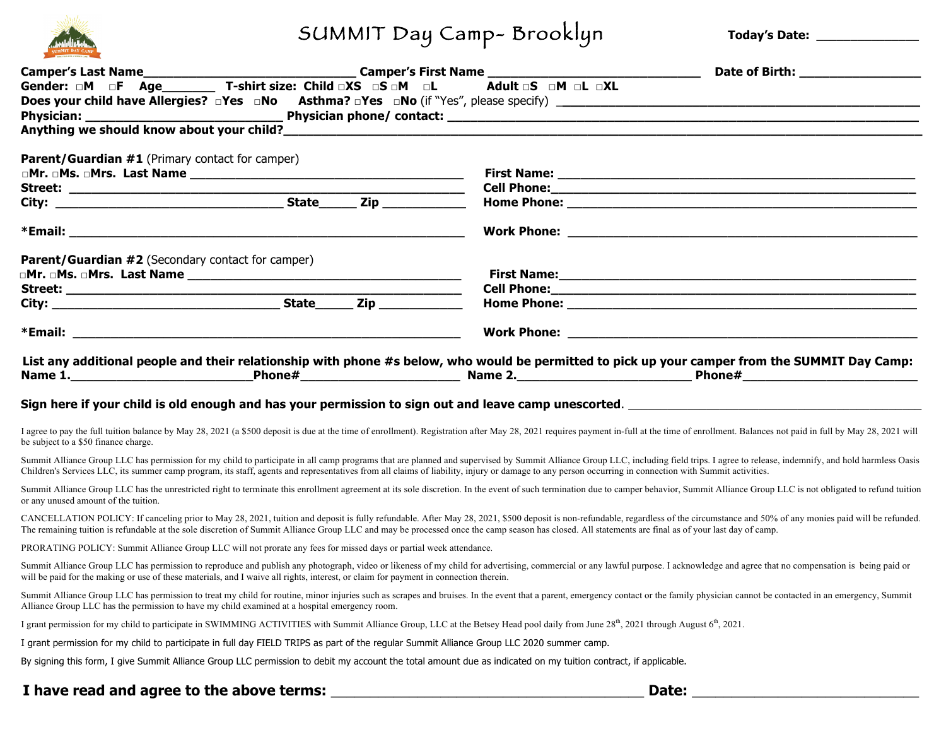| <b>SUMMIT DAY CAMP</b> |
|------------------------|
|                        |

# SUMMIT Day Camp- Brooklyn **Today's Date: \_\_\_\_\_\_\_\_\_\_\_\_\_\_\_**

|                                                                                                                                                                |                   | Date of Birth: The control of the control of the control of the control of the control of the control of the control of the control of the control of the control of the control of the control of the control of the control                                                                                                                                                                                                          |
|----------------------------------------------------------------------------------------------------------------------------------------------------------------|-------------------|----------------------------------------------------------------------------------------------------------------------------------------------------------------------------------------------------------------------------------------------------------------------------------------------------------------------------------------------------------------------------------------------------------------------------------------|
|                                                                                                                                                                |                   |                                                                                                                                                                                                                                                                                                                                                                                                                                        |
|                                                                                                                                                                |                   |                                                                                                                                                                                                                                                                                                                                                                                                                                        |
|                                                                                                                                                                |                   |                                                                                                                                                                                                                                                                                                                                                                                                                                        |
|                                                                                                                                                                |                   | Anything we should know about your child?<br>Anything we should know about your child?                                                                                                                                                                                                                                                                                                                                                 |
| Parent/Guardian #1 (Primary contact for camper)                                                                                                                |                   |                                                                                                                                                                                                                                                                                                                                                                                                                                        |
|                                                                                                                                                                |                   |                                                                                                                                                                                                                                                                                                                                                                                                                                        |
|                                                                                                                                                                |                   |                                                                                                                                                                                                                                                                                                                                                                                                                                        |
|                                                                                                                                                                |                   |                                                                                                                                                                                                                                                                                                                                                                                                                                        |
|                                                                                                                                                                |                   |                                                                                                                                                                                                                                                                                                                                                                                                                                        |
| <b>Parent/Guardian #2</b> (Secondary contact for camper)                                                                                                       |                   |                                                                                                                                                                                                                                                                                                                                                                                                                                        |
|                                                                                                                                                                |                   |                                                                                                                                                                                                                                                                                                                                                                                                                                        |
|                                                                                                                                                                |                   |                                                                                                                                                                                                                                                                                                                                                                                                                                        |
|                                                                                                                                                                | Zip _____________ |                                                                                                                                                                                                                                                                                                                                                                                                                                        |
|                                                                                                                                                                |                   |                                                                                                                                                                                                                                                                                                                                                                                                                                        |
|                                                                                                                                                                |                   |                                                                                                                                                                                                                                                                                                                                                                                                                                        |
|                                                                                                                                                                |                   | List any additional people and their relationship with phone #s below, who would be permitted to pick up your camper from the SUMMIT Day Camp:                                                                                                                                                                                                                                                                                         |
|                                                                                                                                                                |                   |                                                                                                                                                                                                                                                                                                                                                                                                                                        |
|                                                                                                                                                                |                   |                                                                                                                                                                                                                                                                                                                                                                                                                                        |
| be subject to a \$50 finance charge.                                                                                                                           |                   | I agree to pay the full tuition balance by May 28, 2021 (a \$500 deposit is due at the time of enrollment). Registration after May 28, 2021 requires payment in-full at the time of enrollment. Balances not paid in full by Ma                                                                                                                                                                                                        |
|                                                                                                                                                                |                   | Summit Alliance Group LLC has permission for my child to participate in all camp programs that are planned and supervised by Summit Alliance Group LLC, including field trips. I agree to release, indemnify, and hold harmles<br>Children's Services LLC, its summer camp program, its staff, agents and representatives from all claims of liability, injury or damage to any person occurring in connection with Summit activities. |
| or any unused amount of the tuition.                                                                                                                           |                   | Summit Alliance Group LLC has the unrestricted right to terminate this enrollment agreement at its sole discretion. In the event of such termination due to camper behavior, Summit Alliance Group LLC is not obligated to ref                                                                                                                                                                                                         |
|                                                                                                                                                                |                   | CANCELLATION POLICY: If canceling prior to May 28, 2021, tuition and deposit is fully refundable. After May 28, 2021, \$500 deposit is non-refundable, regardless of the circumstance and 50% of any monies paid will be refund<br>The remaining tuition is refundable at the sole discretion of Summit Alliance Group LLC and may be processed once the camp season has closed. All statements are final as of your last day of camp. |
| PRORATING POLICY: Summit Alliance Group LLC will not prorate any fees for missed days or partial week attendance.                                              |                   |                                                                                                                                                                                                                                                                                                                                                                                                                                        |
| will be paid for the making or use of these materials, and I waive all rights, interest, or claim for payment in connection therein.                           |                   | Summit Alliance Group LLC has permission to reproduce and publish any photograph, video or likeness of my child for advertising, commercial or any lawful purpose. I acknowledge and agree that no compensation is being paid                                                                                                                                                                                                          |
| Alliance Group LLC has the permission to have my child examined at a hospital emergency room.                                                                  |                   | Summit Alliance Group LLC has permission to treat my child for routine, minor injuries such as scrapes and bruises. In the event that a parent, emergency contact or the family physician cannot be contacted in an emergency,                                                                                                                                                                                                         |
|                                                                                                                                                                |                   | I grant permission for my child to participate in SWIMMING ACTIVITIES with Summit Alliance Group, LLC at the Betsey Head pool daily from June 28 <sup>th</sup> , 2021 through August 6 <sup>th</sup> , 2021.                                                                                                                                                                                                                           |
| I grant permission for my child to participate in full day FIELD TRIPS as part of the regular Summit Alliance Group LLC 2020 summer camp.                      |                   |                                                                                                                                                                                                                                                                                                                                                                                                                                        |
| By signing this form, I give Summit Alliance Group LLC permission to debit my account the total amount due as indicated on my tuition contract, if applicable. |                   |                                                                                                                                                                                                                                                                                                                                                                                                                                        |
|                                                                                                                                                                |                   |                                                                                                                                                                                                                                                                                                                                                                                                                                        |
| I have read and agree to the above terms:                                                                                                                      |                   | Date:                                                                                                                                                                                                                                                                                                                                                                                                                                  |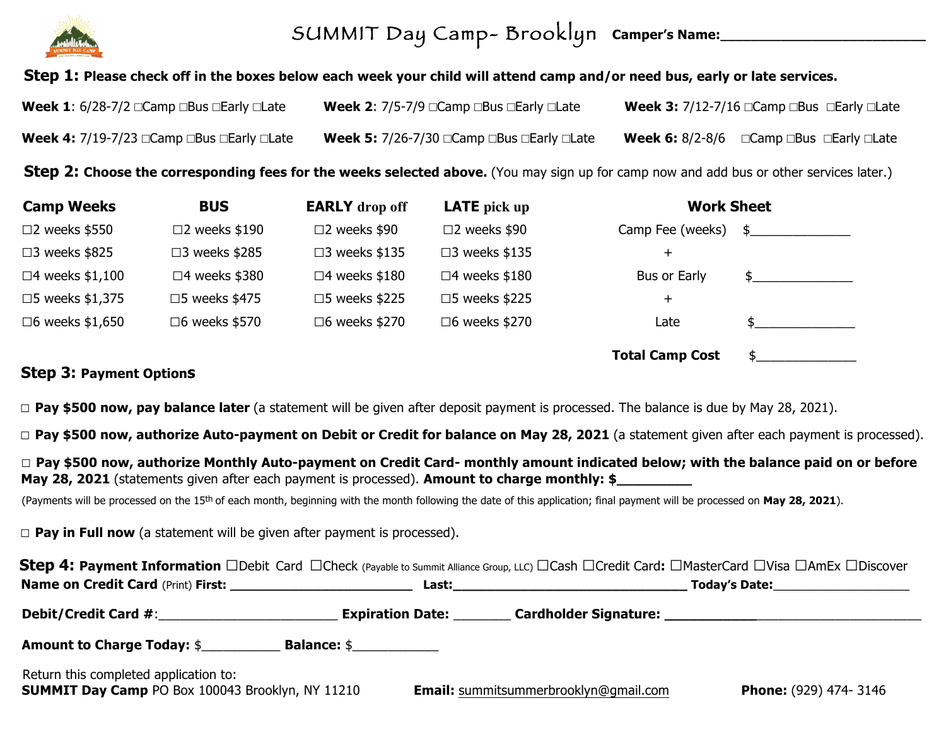

### SUMMIT Day Camp- Brooklyn **Camper's Name:\_\_\_\_\_\_\_\_\_\_\_\_\_\_\_\_\_\_\_\_\_\_\_\_\_\_\_**

### **Step 1: Please check off in the boxes below each week your child will attend camp and/or need bus, early or late services.**

| <b>Week 1:</b> $6/28-7/2$ $\Box$ Camp $\Box$ Bus $\Box$ Early $\Box$ Late  | <b>Week 2:</b> $7/5-7/9$ $\Box$ Camp $\Box$ Bus $\Box$ Early $\Box$ Late   | <b>Week 3:</b> $7/12-7/16$ $\Box$ Camp $\Box$ Bus $\Box$ Early $\Box$ Late |
|----------------------------------------------------------------------------|----------------------------------------------------------------------------|----------------------------------------------------------------------------|
| <b>Week 4:</b> $7/19-7/23$ $\Box$ Camp $\Box$ Bus $\Box$ Early $\Box$ Late | <b>Week 5:</b> $7/26-7/30$ $\Box$ Camp $\Box$ Bus $\Box$ Early $\Box$ Late | <b>Week 6:</b> 8/2-8/6 $\Box$ Camp $\Box$ Bus $\Box$ Early $\Box$ Late     |

**Step 2: Choose the corresponding fees for the weeks selected above.** (You may sign up for camp now and add bus or other services later.)

| <b>Camp Weeks</b>       | <b>BUS</b>              | <b>EARLY</b> drop off   | <b>LATE</b> pick up     | <b>Work Sheet</b>            |  |
|-------------------------|-------------------------|-------------------------|-------------------------|------------------------------|--|
| $\square$ 2 weeks \$550 | $\square$ 2 weeks \$190 | $\square$ 2 weeks \$90  | $\square$ 2 weeks \$90  | Camp Fee (weeks) $$$         |  |
| $\square$ 3 weeks \$825 | $\square$ 3 weeks \$285 | $\square$ 3 weeks \$135 | $\square$ 3 weeks \$135 | $\pm$                        |  |
| $\Box$ 4 weeks \$1,100  | $\square$ 4 weeks \$380 | $\square$ 4 weeks \$180 | $\square$ 4 weeks \$180 | Bus or Early                 |  |
| □5 weeks \$1,375        | $\square$ 5 weeks \$475 | $\square$ 5 weeks \$225 | $\square$ 5 weeks \$225 | $\pm$                        |  |
| $\Box 6$ weeks \$1,650  | $\square$ 6 weeks \$570 | □6 weeks \$270          | $\square 6$ weeks \$270 | Late                         |  |
|                         |                         |                         |                         | <b>Total Camp Cost</b><br>\$ |  |

### **Step 3: Payment Options**

□ **Pay \$500 now, pay balance later** (a statement will be given after deposit payment is processed. The balance is due by May 28, 2021).

 **□ Pay \$500 now, authorize Auto-payment on Debit or Credit for balance on May 28, 2021** (a statement given after each payment is processed).

□ **Pay \$500 now, authorize Monthly Auto-payment on Credit Card- monthly amount indicated below; with the balance paid on or before** May 28, 2021 (statements given after each payment is processed). Amount to charge monthly: \$\_

(Payments will be processed on the 15th of each month, beginning with the month following the date of this application; final payment will be processed on **May 28, 2021**).

□ **Pay in Full now** (a statement will be given after payment is processed).

|                                                                                                  |                                 | <b>Step 4: Payment Information</b> Obebit Card Ocheck (Payable to Summit Alliance Group, LLC) OCash OCredit Card: OMasterCard OVisa OAmEx ODiscover<br>Today's Date: _____________________<br><b>Last:</b> the contract of the contract of the contract of the contract of the contract of the contract of the contract of the contract of the contract of the contract of the contract of the contract of the contract of the co |
|--------------------------------------------------------------------------------------------------|---------------------------------|-----------------------------------------------------------------------------------------------------------------------------------------------------------------------------------------------------------------------------------------------------------------------------------------------------------------------------------------------------------------------------------------------------------------------------------|
| Debit/Credit Card #:                                                                             | <b>Expiration Date:</b>         |                                                                                                                                                                                                                                                                                                                                                                                                                                   |
| <b>Amount to Charge Today: \$</b>                                                                | <b>Balance: \$_____________</b> |                                                                                                                                                                                                                                                                                                                                                                                                                                   |
| Return this completed application to:<br><b>SUMMIT Day Camp PO Box 100043 Brooklyn, NY 11210</b> |                                 | <b>Email:</b> summitsummerbrooklyn@gmail.com<br><b>Phone:</b> (929) 474-3146                                                                                                                                                                                                                                                                                                                                                      |